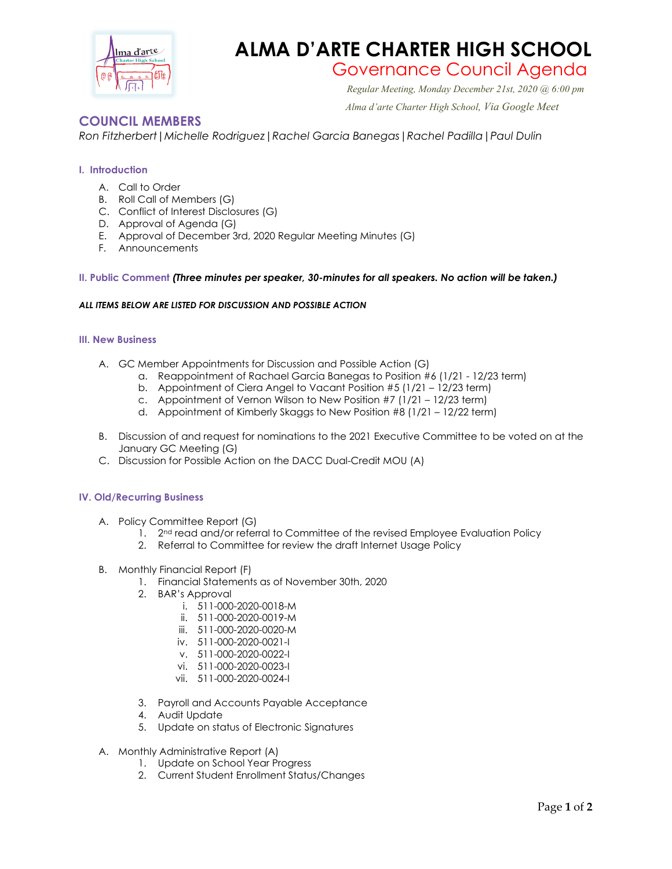

## **ALMA D'ARTE CHARTER HIGH SCHOOL**

# Governance Council Agenda *Regular Meeting, Monday December 21st, 2020 @ 6:00 pm*

 *Alma d'arte Charter High School, Via Google Meet*

### **COUNCIL MEMBERS**

*Ron Fitzherbert|Michelle Rodriguez|Rachel Garcia Banegas|Rachel Padilla|Paul Dulin*

#### **I. Introduction**

- A. Call to Order
- B. Roll Call of Members (G)
- C. Conflict of Interest Disclosures (G)
- D. Approval of Agenda (G)
- E. Approval of December 3rd, 2020 Regular Meeting Minutes (G)
- F. Announcements

#### **II. Public Comment** *(Three minutes per speaker, 30-minutes for all speakers. No action will be taken.)*

#### *ALL ITEMS BELOW ARE LISTED FOR DISCUSSION AND POSSIBLE ACTION*

#### **III. New Business**

- A. GC Member Appointments for Discussion and Possible Action (G)
	- a. Reappointment of Rachael Garcia Banegas to Position #6 (1/21 12/23 term)
	- b. Appointment of Ciera Angel to Vacant Position #5 (1/21 12/23 term)
	- c. Appointment of Vernon Wilson to New Position  $#7$  (1/21 12/23 term)
	- d. Appointment of Kimberly Skaggs to New Position #8 (1/21 12/22 term)
- B. Discussion of and request for nominations to the 2021 Executive Committee to be voted on at the January GC Meeting (G)
- C. Discussion for Possible Action on the DACC Dual-Credit MOU (A)

#### **IV. Old/Recurring Business**

- A. Policy Committee Report (G)
	- 1.  $2^{nd}$  read and/or referral to Committee of the revised Employee Evaluation Policy
	- 2. Referral to Committee for review the draft Internet Usage Policy
- B. Monthly Financial Report (F)
	- 1. Financial Statements as of November 30th, 2020
	- 2. BAR's Approval
		- i. 511-000-2020-0018-M
		- ii. 511-000-2020-0019-M
		- iii. 511-000-2020-0020-M
		- iv. 511-000-2020-0021-I
		- v. 511-000-2020-0022-I
		- vi. 511-000-2020-0023-I
		- vii. 511-000-2020-0024-I
	- 3. Payroll and Accounts Payable Acceptance
	- 4. Audit Update
	- 5. Update on status of Electronic Signatures
- A. Monthly Administrative Report (A)
	- 1. Update on School Year Progress
	- 2. Current Student Enrollment Status/Changes